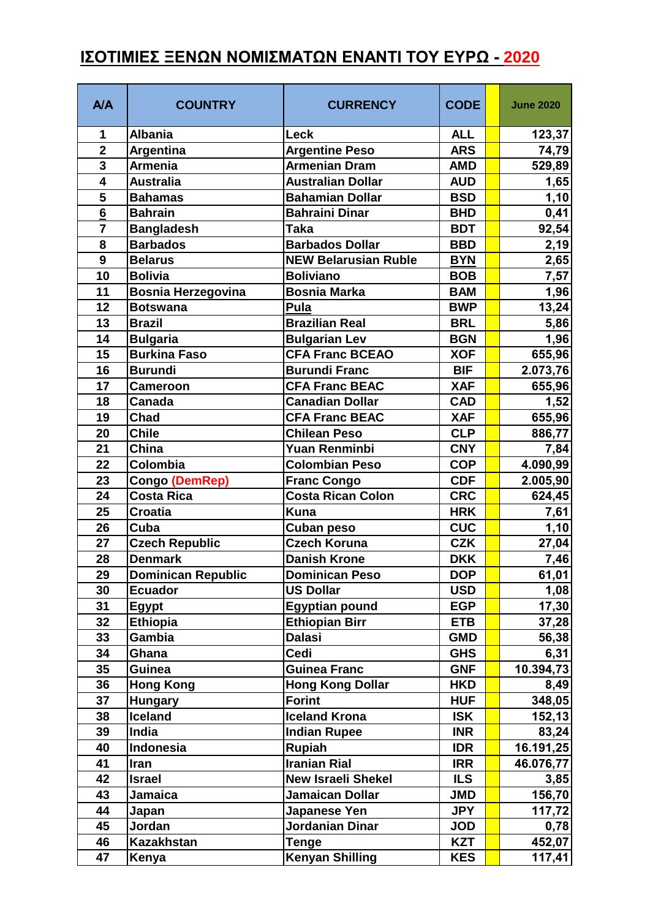## **ΙΣΟΤΙΜΙΕΣ ΞΕΝΩΝ ΝΟΜΙΣΜΑΤΩΝ ΕΝΑΝΤΙ ΤΟΥ ΕΥΡΩ - 2020**

| <b>A/A</b>              | <b>COUNTRY</b>            | <b>CURRENCY</b>             | <b>CODE</b> | <b>June 2020</b> |
|-------------------------|---------------------------|-----------------------------|-------------|------------------|
| 1                       | <b>Albania</b>            | Leck                        | <b>ALL</b>  | 123,37           |
| $\overline{\mathbf{2}}$ | <b>Argentina</b>          | <b>Argentine Peso</b>       | <b>ARS</b>  | 74,79            |
| $\overline{\mathbf{3}}$ | <b>Armenia</b>            | <b>Armenian Dram</b>        | <b>AMD</b>  | 529,89           |
| $\overline{\mathbf{4}}$ | <b>Australia</b>          | <b>Australian Dollar</b>    | <b>AUD</b>  | 1,65             |
| 5                       | <b>Bahamas</b>            | <b>Bahamian Dollar</b>      | <b>BSD</b>  | 1,10             |
| $6\phantom{1}6$         | <b>Bahrain</b>            | <b>Bahraini Dinar</b>       | <b>BHD</b>  | 0,41             |
| $\overline{7}$          | <b>Bangladesh</b>         | <b>Taka</b>                 | <b>BDT</b>  | 92,54            |
| 8                       | <b>Barbados</b>           | <b>Barbados Dollar</b>      | <b>BBD</b>  | 2,19             |
| $\boldsymbol{9}$        | <b>Belarus</b>            | <b>NEW Belarusian Ruble</b> | <b>BYN</b>  | 2,65             |
| 10                      | <b>Bolivia</b>            | <b>Boliviano</b>            | <b>BOB</b>  | 7,57             |
| 11                      | <b>Bosnia Herzegovina</b> | <b>Bosnia Marka</b>         | <b>BAM</b>  | 1,96             |
| 12                      | <b>Botswana</b>           | Pula                        | <b>BWP</b>  | 13,24            |
| 13                      | <b>Brazil</b>             | <b>Brazilian Real</b>       | <b>BRL</b>  | 5,86             |
| 14                      | <b>Bulgaria</b>           | <b>Bulgarian Lev</b>        | <b>BGN</b>  | 1,96             |
| 15                      | <b>Burkina Faso</b>       | <b>CFA Franc BCEAO</b>      | <b>XOF</b>  | 655,96           |
| 16                      | <b>Burundi</b>            | <b>Burundi Franc</b>        | <b>BIF</b>  | 2.073,76         |
| 17                      | <b>Cameroon</b>           | <b>CFA Franc BEAC</b>       | <b>XAF</b>  | 655,96           |
| 18                      | Canada                    | <b>Canadian Dollar</b>      | <b>CAD</b>  | 1,52             |
| 19                      | Chad                      | <b>CFA Franc BEAC</b>       | <b>XAF</b>  | 655,96           |
| 20                      | <b>Chile</b>              | <b>Chilean Peso</b>         | <b>CLP</b>  | 886,77           |
| 21                      | China                     | Yuan Renminbi               | <b>CNY</b>  | 7,84             |
| 22                      | Colombia                  | Colombian Peso              | <b>COP</b>  | 4.090,99         |
| 23                      | Congo (DemRep)            | <b>Franc Congo</b>          | <b>CDF</b>  | 2.005,90         |
| 24                      | <b>Costa Rica</b>         | <b>Costa Rican Colon</b>    | <b>CRC</b>  | 624,45           |
| 25                      | <b>Croatia</b>            | <b>Kuna</b>                 | <b>HRK</b>  | 7,61             |
| 26                      | Cuba                      | <b>Cuban peso</b>           | <b>CUC</b>  | 1,10             |
| 27                      | <b>Czech Republic</b>     | <b>Czech Koruna</b>         | <b>CZK</b>  | 27,04            |
| 28                      | <b>Denmark</b>            | <b>Danish Krone</b>         | <b>DKK</b>  | 7,46             |
| 29                      | Dominican Republic        | Dominican Peso              | <b>DOP</b>  | 61,01            |
| 30                      | <b>Ecuador</b>            | <b>US Dollar</b>            | <b>USD</b>  | 1,08             |
| 31                      | <b>Egypt</b>              | <b>Egyptian pound</b>       | <b>EGP</b>  | 17,30            |
| 32                      | <b>Ethiopia</b>           | <b>Ethiopian Birr</b>       | <b>ETB</b>  | 37,28            |
| 33                      | Gambia                    | <b>Dalasi</b>               | <b>GMD</b>  | 56,38            |
| 34                      | Ghana                     | Cedi                        | <b>GHS</b>  | 6,31             |
| 35                      | Guinea                    | <b>Guinea Franc</b>         | <b>GNF</b>  | 10.394,73        |
| 36                      | <b>Hong Kong</b>          | <b>Hong Kong Dollar</b>     | <b>HKD</b>  | 8,49             |
| 37                      | <b>Hungary</b>            | <b>Forint</b>               | <b>HUF</b>  | 348,05           |
| 38                      | Iceland                   | <b>Iceland Krona</b>        | <b>ISK</b>  | 152,13           |
| 39                      | India                     | <b>Indian Rupee</b>         | <b>INR</b>  | 83,24            |
| 40                      | Indonesia                 | <b>Rupiah</b>               | <b>IDR</b>  | 16.191,25        |
| 41                      | Iran                      | <b>Iranian Rial</b>         | <b>IRR</b>  | 46.076,77        |
| 42                      | <b>Israel</b>             | <b>New Israeli Shekel</b>   | <b>ILS</b>  | 3,85             |
| 43                      | <b>Jamaica</b>            | <b>Jamaican Dollar</b>      | <b>JMD</b>  | 156,70           |
| 44                      | Japan                     | Japanese Yen                | <b>JPY</b>  | 117,72           |
| 45                      | Jordan                    | Jordanian Dinar             | <b>JOD</b>  | 0,78             |
| 46                      | <b>Kazakhstan</b>         | Tenge                       | <b>KZT</b>  | 452,07           |
| 47                      | Kenya                     | <b>Kenyan Shilling</b>      | <b>KES</b>  | 117,41           |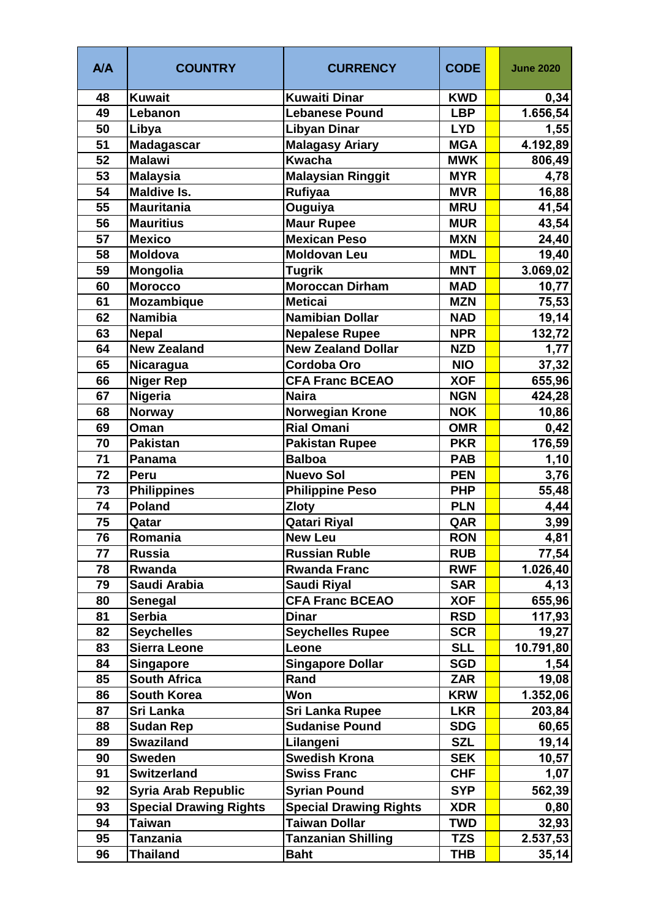| <b>A/A</b> | <b>COUNTRY</b>                | <b>CURRENCY</b>                          | <b>CODE</b> | <b>June 2020</b>  |
|------------|-------------------------------|------------------------------------------|-------------|-------------------|
| 48         | <b>Kuwait</b>                 | <b>Kuwaiti Dinar</b>                     | <b>KWD</b>  | 0,34              |
| 49         | Lebanon                       | <b>Lebanese Pound</b>                    | <b>LBP</b>  | 1.656,54          |
| 50         | Libya                         | Libyan Dinar                             | <b>LYD</b>  | 1,55              |
| 51         | <b>Madagascar</b>             | <b>Malagasy Ariary</b>                   | <b>MGA</b>  | 4.192,89          |
| 52         | <b>Malawi</b>                 | <b>Kwacha</b>                            | <b>MWK</b>  | 806,49            |
| 53         | <b>Malaysia</b>               | <b>Malaysian Ringgit</b>                 | <b>MYR</b>  | 4,78              |
| 54         | <b>Maldive Is.</b>            | <b>Rufiyaa</b>                           | <b>MVR</b>  | 16,88             |
| 55         | <b>Mauritania</b>             | Ouguiya                                  | <b>MRU</b>  | 41,54             |
| 56         | <b>Mauritius</b>              | <b>Maur Rupee</b>                        | <b>MUR</b>  | 43,54             |
| 57         | <b>Mexico</b>                 | <b>Mexican Peso</b>                      | <b>MXN</b>  | 24,40             |
| 58         | <b>Moldova</b>                | <b>Moldovan Leu</b>                      | <b>MDL</b>  | 19,40             |
| 59         | Mongolia                      | <b>Tugrik</b>                            | <b>MNT</b>  | 3.069,02          |
| 60         | <b>Morocco</b>                | <b>Moroccan Dirham</b>                   | <b>MAD</b>  | 10,77             |
| 61         | <b>Mozambique</b>             | <b>Meticai</b>                           | <b>MZN</b>  | 75,53             |
| 62         | <b>Namibia</b>                | <b>Namibian Dollar</b>                   | <b>NAD</b>  | 19,14             |
| 63         | <b>Nepal</b>                  | <b>Nepalese Rupee</b>                    | <b>NPR</b>  | 132,72            |
| 64         | <b>New Zealand</b>            | <b>New Zealand Dollar</b>                | <b>NZD</b>  | 1,77              |
| 65         | Nicaragua                     | <b>Cordoba Oro</b>                       | <b>NIO</b>  | 37,32             |
| 66         | <b>Niger Rep</b>              | <b>CFA Franc BCEAO</b>                   | <b>XOF</b>  | 655,96            |
| 67         | Nigeria                       | <b>Naira</b>                             | <b>NGN</b>  | 424,28            |
| 68         | <b>Norway</b>                 | <b>Norwegian Krone</b>                   | <b>NOK</b>  | 10,86             |
| 69         | Oman                          | <b>Rial Omani</b>                        | <b>OMR</b>  | 0,42              |
| 70         | <b>Pakistan</b>               | <b>Pakistan Rupee</b>                    | <b>PKR</b>  | 176,59            |
| 71         | Panama                        | <b>Balboa</b>                            | <b>PAB</b>  | 1,10              |
| 72         | Peru                          | <b>Nuevo Sol</b>                         | <b>PEN</b>  | 3,76              |
| 73         | <b>Philippines</b>            | <b>Philippine Peso</b>                   | <b>PHP</b>  | 55,48             |
| 74         | <b>Poland</b>                 | <b>Zloty</b>                             | <b>PLN</b>  | 4,44              |
| 75         | Qatar                         | <b>Qatari Riyal</b>                      | QAR         | 3,99              |
| 76         | Romania                       | <b>New Leu</b>                           | <b>RON</b>  | 4,81              |
| 77         | <b>Russia</b>                 | <b>Russian Ruble</b>                     | <b>RUB</b>  | 77,54             |
| 78         | Rwanda                        | <b>Rwanda Franc</b>                      | <b>RWF</b>  | 1.026,40          |
| 79         | Saudi Arabia                  | Saudi Riyal                              | <b>SAR</b>  | 4,13              |
| 80         | Senegal                       | <b>CFA Franc BCEAO</b>                   | <b>XOF</b>  | 655,96            |
| 81         | <b>Serbia</b>                 | <b>Dinar</b>                             | <b>RSD</b>  | 117,93            |
| 82         | <b>Seychelles</b>             | <b>Seychelles Rupee</b>                  | <b>SCR</b>  | 19,27             |
| 83         | <b>Sierra Leone</b>           | Leone                                    | <b>SLL</b>  | 10.791,80         |
| 84         | <b>Singapore</b>              | <b>Singapore Dollar</b>                  | <b>SGD</b>  | 1,54              |
| 85         | <b>South Africa</b>           | Rand                                     | <b>ZAR</b>  | 19,08             |
| 86         | <b>South Korea</b>            | Won                                      | <b>KRW</b>  | 1.352,06          |
| 87         | Sri Lanka                     | <b>Sri Lanka Rupee</b>                   | <b>LKR</b>  | 203,84            |
| 88         | <b>Sudan Rep</b>              | <b>Sudanise Pound</b>                    | <b>SDG</b>  | 60,65             |
| 89         | <b>Swaziland</b>              | Lilangeni                                | <b>SZL</b>  | 19,14             |
| 90         | <b>Sweden</b>                 | <b>Swedish Krona</b>                     | <b>SEK</b>  | 10,57             |
| 91         | <b>Switzerland</b>            | <b>Swiss Franc</b>                       | <b>CHF</b>  | 1,07              |
| 92         | Syria Arab Republic           | <b>Syrian Pound</b>                      | <b>SYP</b>  | 562,39            |
| 93         | <b>Special Drawing Rights</b> | <b>Special Drawing Rights</b>            | <b>XDR</b>  | 0,80              |
| 94         | <b>Taiwan</b>                 | <b>Taiwan Dollar</b>                     | <b>TWD</b>  |                   |
| 95         | <b>Tanzania</b>               |                                          | <b>TZS</b>  | 32,93<br>2.537,53 |
| 96         | <b>Thailand</b>               | <b>Tanzanian Shilling</b><br><b>Baht</b> | <b>THB</b>  |                   |
|            |                               |                                          |             | 35,14             |